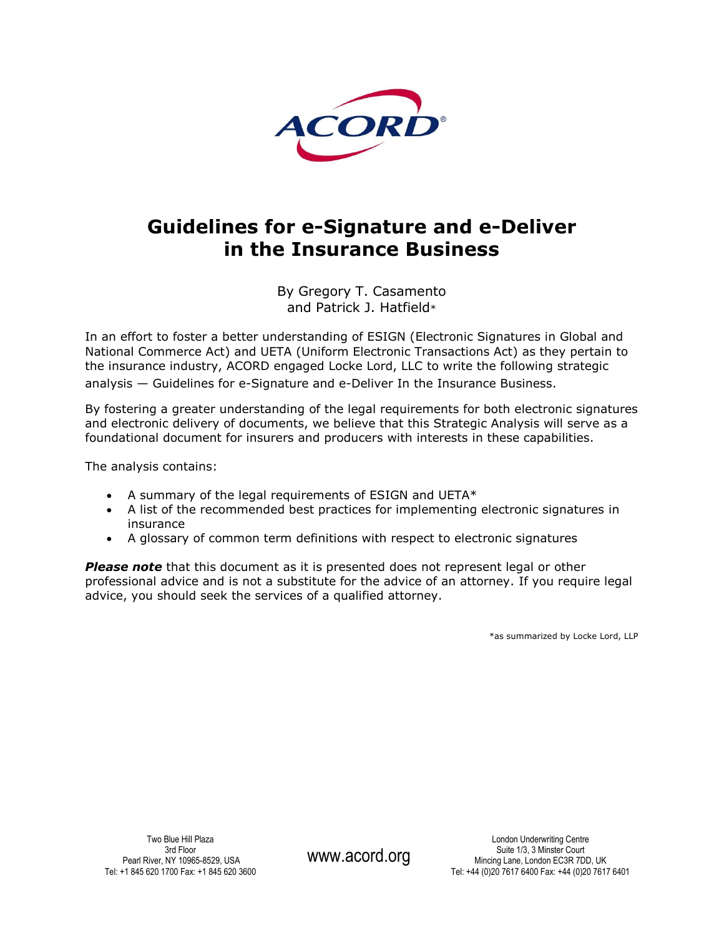

# **Guidelines for e-Signature and e-Deliver in the Insurance Business**

By Gregory T. Casamento and Patrick J. Hatfield\*

In an effort to foster a better understanding of ESIGN (Electronic Signatures in Global and National Commerce Act) and UETA (Uniform Electronic Transactions Act) as they pertain to the insurance industry, ACORD engaged Locke Lord, LLC to write the following strategic analysis — Guidelines for e-Signature and e-Deliver In the Insurance Business.

By fostering a greater understanding of the legal requirements for both electronic signatures and electronic delivery of documents, we believe that this Strategic Analysis will serve as a foundational document for insurers and producers with interests in these capabilities.

The analysis contains:

- $\bullet$  A summary of the legal requirements of ESIGN and UETA\*
- A list of the recommended best practices for implementing electronic signatures in insurance
- A glossary of common term definitions with respect to electronic signatures

*Please note* that this document as it is presented does not represent legal or other professional advice and is not a substitute for the advice of an attorney. If you require legal advice, you should seek the services of a qualified attorney.

\*as summarized by Locke Lord, LLP

Two Blue Hill Plaza 3rd Floor Pearl River, NY 10965-8529, USA Tel: +1 845 620 1700 Fax: +1 845 620 3600

www.acord.org

London Underwriting Centre Suite 1/3, 3 Minster Court Mincing Lane, London EC3R 7DD, UK Tel: +44 (0)20 7617 6400 Fax: +44 (0)20 7617 6401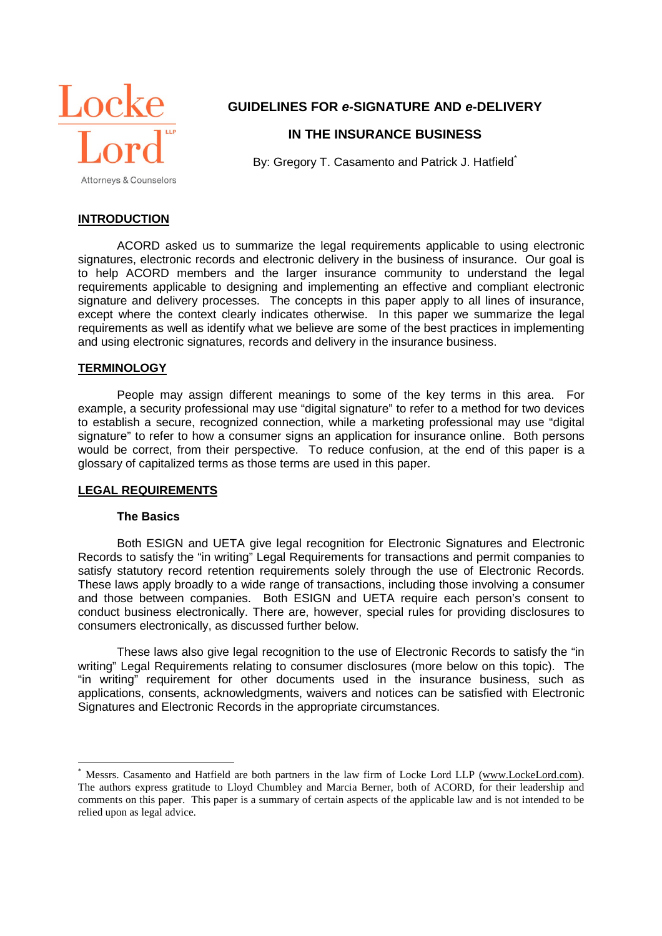

# **GUIDELINES FOR** *e-***SIGNATURE AND** *e-***DELIVERY**

# **IN THE INSURANCE BUSINESS**

By: Gregory T. Casamento and Patrick J. Hatfield<sup>\*</sup>

# **INTRODUCTION**

ACORD asked us to summarize the legal requirements applicable to using electronic signatures, electronic records and electronic delivery in the business of insurance. Our goal is to help ACORD members and the larger insurance community to understand the legal requirements applicable to designing and implementing an effective and compliant electronic signature and delivery processes. The concepts in this paper apply to all lines of insurance, except where the context clearly indicates otherwise. In this paper we summarize the legal requirements as well as identify what we believe are some of the best practices in implementing and using electronic signatures, records and delivery in the insurance business.

## **TERMINOLOGY**

People may assign different meanings to some of the key terms in this area. For example, a security professional may use "digital signature" to refer to a method for two devices to establish a secure, recognized connection, while a marketing professional may use "digital signature" to refer to how a consumer signs an application for insurance online. Both persons would be correct, from their perspective. To reduce confusion, at the end of this paper is a glossary of capitalized terms as those terms are used in this paper.

## **LEGAL REQUIREMENTS**

#### **The Basics**

Both ESIGN and UETA give legal recognition for Electronic Signatures and Electronic Records to satisfy the "in writing" Legal Requirements for transactions and permit companies to satisfy statutory record retention requirements solely through the use of Electronic Records. These laws apply broadly to a wide range of transactions, including those involving a consumer and those between companies. Both ESIGN and UETA require each person's consent to conduct business electronically. There are, however, special rules for providing disclosures to consumers electronically, as discussed further below.

These laws also give legal recognition to the use of Electronic Records to satisfy the "in writing" Legal Requirements relating to consumer disclosures (more below on this topic). The "in writing" requirement for other documents used in the insurance business, such as applications, consents, acknowledgments, waivers and notices can be satisfied with Electronic Signatures and Electronic Records in the appropriate circumstances.

Messrs. Casamento and Hatfield are both partners in the law firm of Locke Lord LLP (www.LockeLord.com). The authors express gratitude to Lloyd Chumbley and Marcia Berner, both of ACORD, for their leadership and comments on this paper. This paper is a summary of certain aspects of the applicable law and is not intended to be relied upon as legal advice.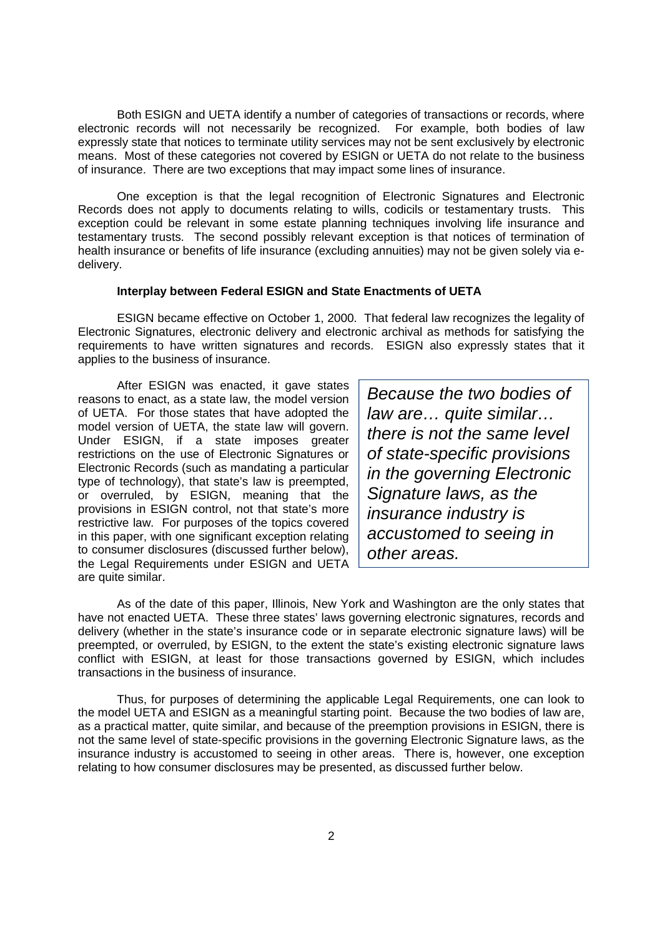Both ESIGN and UETA identify a number of categories of transactions or records, where electronic records will not necessarily be recognized. For example, both bodies of law expressly state that notices to terminate utility services may not be sent exclusively by electronic means. Most of these categories not covered by ESIGN or UETA do not relate to the business of insurance. There are two exceptions that may impact some lines of insurance.

One exception is that the legal recognition of Electronic Signatures and Electronic Records does not apply to documents relating to wills, codicils or testamentary trusts. This exception could be relevant in some estate planning techniques involving life insurance and testamentary trusts. The second possibly relevant exception is that notices of termination of health insurance or benefits of life insurance (excluding annuities) may not be given solely via edelivery.

#### **Interplay between Federal ESIGN and State Enactments of UETA**

ESIGN became effective on October 1, 2000. That federal law recognizes the legality of Electronic Signatures, electronic delivery and electronic archival as methods for satisfying the requirements to have written signatures and records. ESIGN also expressly states that it applies to the business of insurance.

After ESIGN was enacted, it gave states reasons to enact, as a state law, the model version of UETA. For those states that have adopted the model version of UETA, the state law will govern. Under ESIGN, if a state imposes greater restrictions on the use of Electronic Signatures or Electronic Records (such as mandating a particular type of technology), that state's law is preempted, or overruled, by ESIGN, meaning that the provisions in ESIGN control, not that state's more restrictive law. For purposes of the topics covered in this paper, with one significant exception relating to consumer disclosures (discussed further below), the Legal Requirements under ESIGN and UETA are quite similar.

*Because the two bodies of law are… quite similar… there is not the same level of state-specific provisions in the governing Electronic Signature laws, as the insurance industry is accustomed to seeing in other areas.*

As of the date of this paper, Illinois, New York and Washington are the only states that have not enacted UETA. These three states' laws governing electronic signatures, records and delivery (whether in the state's insurance code or in separate electronic signature laws) will be preempted, or overruled, by ESIGN, to the extent the state's existing electronic signature laws conflict with ESIGN, at least for those transactions governed by ESIGN, which includes transactions in the business of insurance.

Thus, for purposes of determining the applicable Legal Requirements, one can look to the model UETA and ESIGN as a meaningful starting point. Because the two bodies of law are, as a practical matter, quite similar, and because of the preemption provisions in ESIGN, there is not the same level of state-specific provisions in the governing Electronic Signature laws, as the insurance industry is accustomed to seeing in other areas. There is, however, one exception relating to how consumer disclosures may be presented, as discussed further below.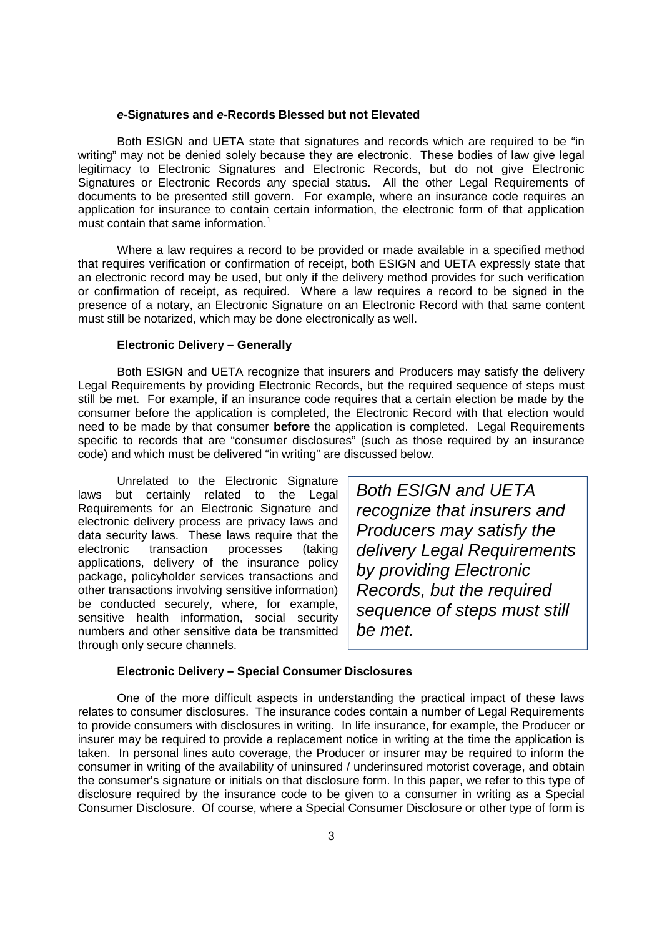#### *e***-Signatures and** *e***-Records Blessed but not Elevated**

Both ESIGN and UETA state that signatures and records which are required to be "in writing" may not be denied solely because they are electronic. These bodies of law give legal legitimacy to Electronic Signatures and Electronic Records, but do not give Electronic Signatures or Electronic Records any special status. All the other Legal Requirements of documents to be presented still govern. For example, where an insurance code requires an application for insurance to contain certain information, the electronic form of that application must contain that same information.<sup>1</sup>

Where a law requires a record to be provided or made available in a specified method that requires verification or confirmation of receipt, both ESIGN and UETA expressly state that an electronic record may be used, but only if the delivery method provides for such verification or confirmation of receipt, as required. Where a law requires a record to be signed in the presence of a notary, an Electronic Signature on an Electronic Record with that same content must still be notarized, which may be done electronically as well.

#### **Electronic Delivery – Generally**

Both ESIGN and UETA recognize that insurers and Producers may satisfy the delivery Legal Requirements by providing Electronic Records, but the required sequence of steps must still be met. For example, if an insurance code requires that a certain election be made by the consumer before the application is completed, the Electronic Record with that election would need to be made by that consumer **before** the application is completed. Legal Requirements specific to records that are "consumer disclosures" (such as those required by an insurance code) and which must be delivered "in writing" are discussed below.

Unrelated to the Electronic Signature laws but certainly related to the Legal Requirements for an Electronic Signature and electronic delivery process are privacy laws and data security laws. These laws require that the electronic transaction processes (taking applications, delivery of the insurance policy package, policyholder services transactions and other transactions involving sensitive information) be conducted securely, where, for example, sensitive health information, social security numbers and other sensitive data be transmitted through only secure channels.

*Both ESIGN and UETA recognize that insurers and Producers may satisfy the delivery Legal Requirements by providing Electronic Records, but the required sequence of steps must still be met.*

#### **Electronic Delivery – Special Consumer Disclosures**

One of the more difficult aspects in understanding the practical impact of these laws relates to consumer disclosures. The insurance codes contain a number of Legal Requirements to provide consumers with disclosures in writing. In life insurance, for example, the Producer or insurer may be required to provide a replacement notice in writing at the time the application is taken. In personal lines auto coverage, the Producer or insurer may be required to inform the consumer in writing of the availability of uninsured / underinsured motorist coverage, and obtain the consumer's signature or initials on that disclosure form. In this paper, we refer to this type of disclosure required by the insurance code to be given to a consumer in writing as a Special Consumer Disclosure. Of course, where a Special Consumer Disclosure or other type of form is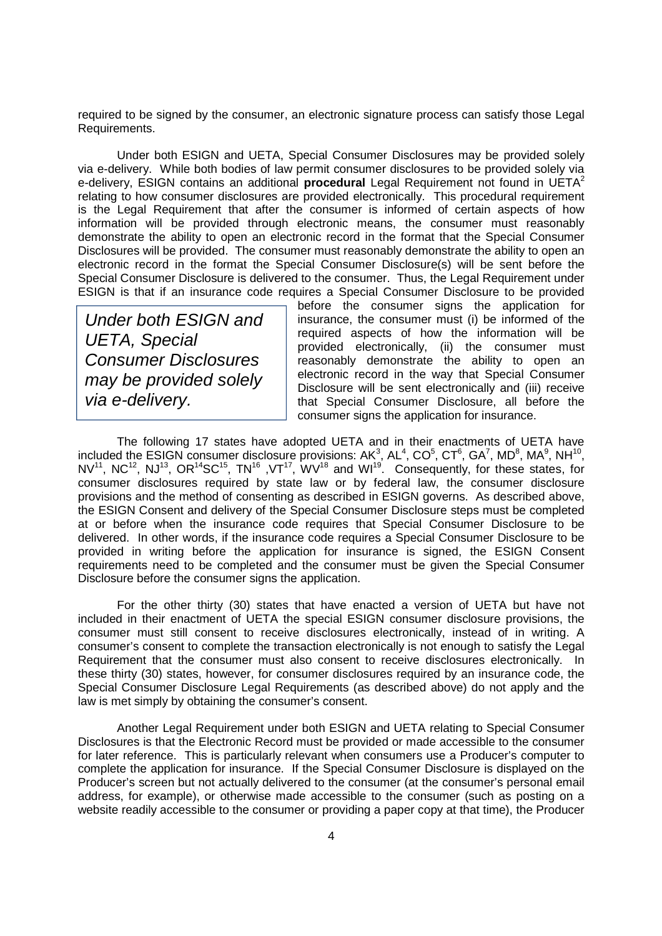required to be signed by the consumer, an electronic signature process can satisfy those Legal Requirements.

Under both ESIGN and UETA, Special Consumer Disclosures may be provided solely via e-delivery. While both bodies of law permit consumer disclosures to be provided solely via e-delivery, ESIGN contains an additional **procedural** Legal Requirement not found in UETA<sup>2</sup> relating to how consumer disclosures are provided electronically. This procedural requirement is the Legal Requirement that after the consumer is informed of certain aspects of how information will be provided through electronic means, the consumer must reasonably demonstrate the ability to open an electronic record in the format that the Special Consumer Disclosures will be provided. The consumer must reasonably demonstrate the ability to open an electronic record in the format the Special Consumer Disclosure(s) will be sent before the Special Consumer Disclosure is delivered to the consumer. Thus, the Legal Requirement under ESIGN is that if an insurance code requires a Special Consumer Disclosure to be provided

*Under both ESIGN and UETA, Special Consumer Disclosures may be provided solely via e-delivery.*

before the consumer signs the application for insurance, the consumer must (i) be informed of the required aspects of how the information will be provided electronically, (ii) the consumer must reasonably demonstrate the ability to open an electronic record in the way that Special Consumer Disclosure will be sent electronically and (iii) receive that Special Consumer Disclosure, all before the consumer signs the application for insurance.

The following 17 states have adopted UETA and in their enactments of UETA have included the ESIGN consumer disclosure provisions:  $AK^3$ ,  $AL^4$ ,  $CO^5$ ,  $CT^6$ ,  $GA^7$ ,  $MD^8$ ,  $MA^9$ ,  $NH^{10}$ , NV<sup>11</sup>, NC<sup>12</sup>, NJ<sup>13</sup>, OR<sup>14</sup>SC<sup>15</sup>, TN<sup>16</sup>, VT<sup>17</sup>, WV<sup>18</sup> and WI<sup>19</sup>. Consequently, for these states, for consumer disclosures required by state law or by federal law, the consumer disclosure provisions and the method of consenting as described in ESIGN governs. As described above, the ESIGN Consent and delivery of the Special Consumer Disclosure steps must be completed at or before when the insurance code requires that Special Consumer Disclosure to be delivered. In other words, if the insurance code requires a Special Consumer Disclosure to be provided in writing before the application for insurance is signed, the ESIGN Consent requirements need to be completed and the consumer must be given the Special Consumer Disclosure before the consumer signs the application.

For the other thirty (30) states that have enacted a version of UETA but have not included in their enactment of UETA the special ESIGN consumer disclosure provisions, the consumer must still consent to receive disclosures electronically, instead of in writing. A consumer's consent to complete the transaction electronically is not enough to satisfy the Legal Requirement that the consumer must also consent to receive disclosures electronically. In these thirty (30) states, however, for consumer disclosures required by an insurance code, the Special Consumer Disclosure Legal Requirements (as described above) do not apply and the law is met simply by obtaining the consumer's consent.

Another Legal Requirement under both ESIGN and UETA relating to Special Consumer Disclosures is that the Electronic Record must be provided or made accessible to the consumer for later reference. This is particularly relevant when consumers use a Producer's computer to complete the application for insurance. If the Special Consumer Disclosure is displayed on the Producer's screen but not actually delivered to the consumer (at the consumer's personal email address, for example), or otherwise made accessible to the consumer (such as posting on a website readily accessible to the consumer or providing a paper copy at that time), the Producer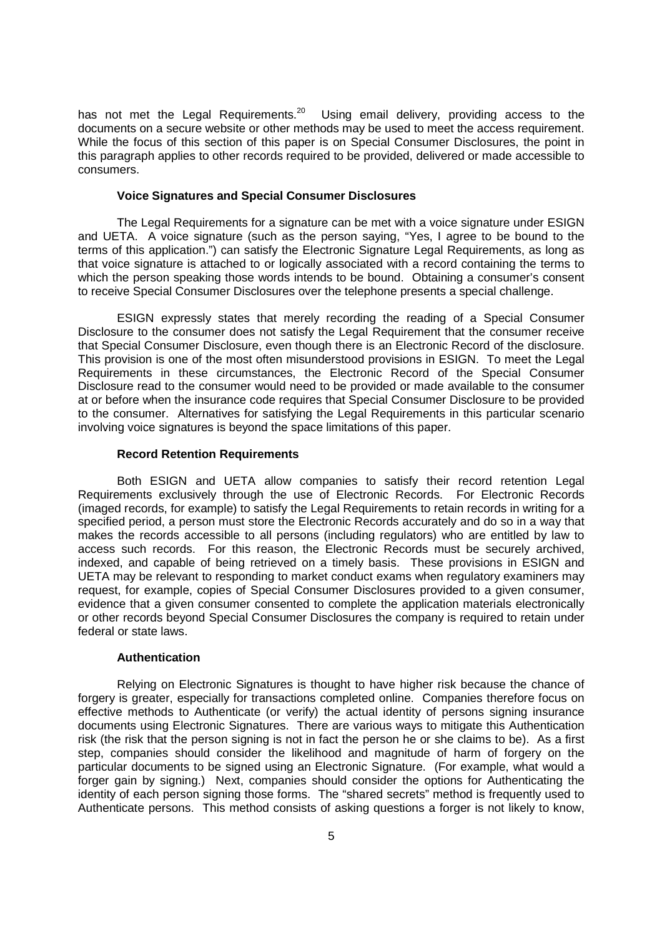has not met the Legal Requirements.<sup>20</sup> Using email delivery, providing access to the documents on a secure website or other methods may be used to meet the access requirement. While the focus of this section of this paper is on Special Consumer Disclosures, the point in this paragraph applies to other records required to be provided, delivered or made accessible to consumers.

#### **Voice Signatures and Special Consumer Disclosures**

The Legal Requirements for a signature can be met with a voice signature under ESIGN and UETA. A voice signature (such as the person saying, "Yes, I agree to be bound to the terms of this application.") can satisfy the Electronic Signature Legal Requirements, as long as that voice signature is attached to or logically associated with a record containing the terms to which the person speaking those words intends to be bound. Obtaining a consumer's consent to receive Special Consumer Disclosures over the telephone presents a special challenge.

ESIGN expressly states that merely recording the reading of a Special Consumer Disclosure to the consumer does not satisfy the Legal Requirement that the consumer receive that Special Consumer Disclosure, even though there is an Electronic Record of the disclosure. This provision is one of the most often misunderstood provisions in ESIGN. To meet the Legal Requirements in these circumstances, the Electronic Record of the Special Consumer Disclosure read to the consumer would need to be provided or made available to the consumer at or before when the insurance code requires that Special Consumer Disclosure to be provided to the consumer. Alternatives for satisfying the Legal Requirements in this particular scenario involving voice signatures is beyond the space limitations of this paper.

#### **Record Retention Requirements**

Both ESIGN and UETA allow companies to satisfy their record retention Legal Requirements exclusively through the use of Electronic Records. For Electronic Records (imaged records, for example) to satisfy the Legal Requirements to retain records in writing for a specified period, a person must store the Electronic Records accurately and do so in a way that makes the records accessible to all persons (including regulators) who are entitled by law to access such records. For this reason, the Electronic Records must be securely archived, indexed, and capable of being retrieved on a timely basis. These provisions in ESIGN and UETA may be relevant to responding to market conduct exams when regulatory examiners may request, for example, copies of Special Consumer Disclosures provided to a given consumer, evidence that a given consumer consented to complete the application materials electronically or other records beyond Special Consumer Disclosures the company is required to retain under federal or state laws.

#### **Authentication**

Relying on Electronic Signatures is thought to have higher risk because the chance of forgery is greater, especially for transactions completed online. Companies therefore focus on effective methods to Authenticate (or verify) the actual identity of persons signing insurance documents using Electronic Signatures. There are various ways to mitigate this Authentication risk (the risk that the person signing is not in fact the person he or she claims to be). As a first step, companies should consider the likelihood and magnitude of harm of forgery on the particular documents to be signed using an Electronic Signature. (For example, what would a forger gain by signing.) Next, companies should consider the options for Authenticating the identity of each person signing those forms. The "shared secrets" method is frequently used to Authenticate persons. This method consists of asking questions a forger is not likely to know,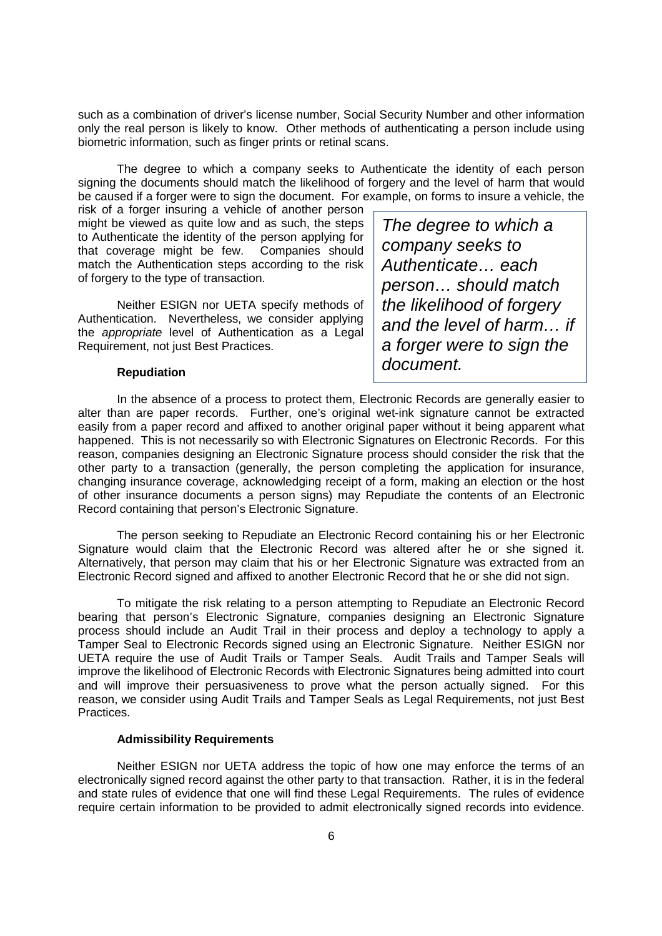such as a combination of driver's license number, Social Security Number and other information only the real person is likely to know. Other methods of authenticating a person include using biometric information, such as finger prints or retinal scans.

The degree to which a company seeks to Authenticate the identity of each person signing the documents should match the likelihood of forgery and the level of harm that would be caused if a forger were to sign the document. For example, on forms to insure a vehicle, the

risk of a forger insuring a vehicle of another person might be viewed as quite low and as such, the steps to Authenticate the identity of the person applying for that coverage might be few. Companies should match the Authentication steps according to the risk of forgery to the type of transaction.

Neither ESIGN nor UETA specify methods of Authentication. Nevertheless, we consider applying the *appropriate* level of Authentication as a Legal Requirement, not just Best Practices.

**Repudiation**

*The degree to which a company seeks to Authenticate… each person… should match the likelihood of forgery and the level of harm… if a forger were to sign the document.*

In the absence of a process to protect them, Electronic Records are generally easier to alter than are paper records. Further, one's original wet-ink signature cannot be extracted easily from a paper record and affixed to another original paper without it being apparent what happened. This is not necessarily so with Electronic Signatures on Electronic Records. For this reason, companies designing an Electronic Signature process should consider the risk that the other party to a transaction (generally, the person completing the application for insurance, changing insurance coverage, acknowledging receipt of a form, making an election or the host of other insurance documents a person signs) may Repudiate the contents of an Electronic Record containing that person's Electronic Signature.

The person seeking to Repudiate an Electronic Record containing his or her Electronic Signature would claim that the Electronic Record was altered after he or she signed it. Alternatively, that person may claim that his or her Electronic Signature was extracted from an Electronic Record signed and affixed to another Electronic Record that he or she did not sign.

To mitigate the risk relating to a person attempting to Repudiate an Electronic Record bearing that person's Electronic Signature, companies designing an Electronic Signature process should include an Audit Trail in their process and deploy a technology to apply a Tamper Seal to Electronic Records signed using an Electronic Signature. Neither ESIGN nor UETA require the use of Audit Trails or Tamper Seals. Audit Trails and Tamper Seals will improve the likelihood of Electronic Records with Electronic Signatures being admitted into court and will improve their persuasiveness to prove what the person actually signed. For this reason, we consider using Audit Trails and Tamper Seals as Legal Requirements, not just Best Practices.

## **Admissibility Requirements**

Neither ESIGN nor UETA address the topic of how one may enforce the terms of an electronically signed record against the other party to that transaction. Rather, it is in the federal and state rules of evidence that one will find these Legal Requirements. The rules of evidence require certain information to be provided to admit electronically signed records into evidence.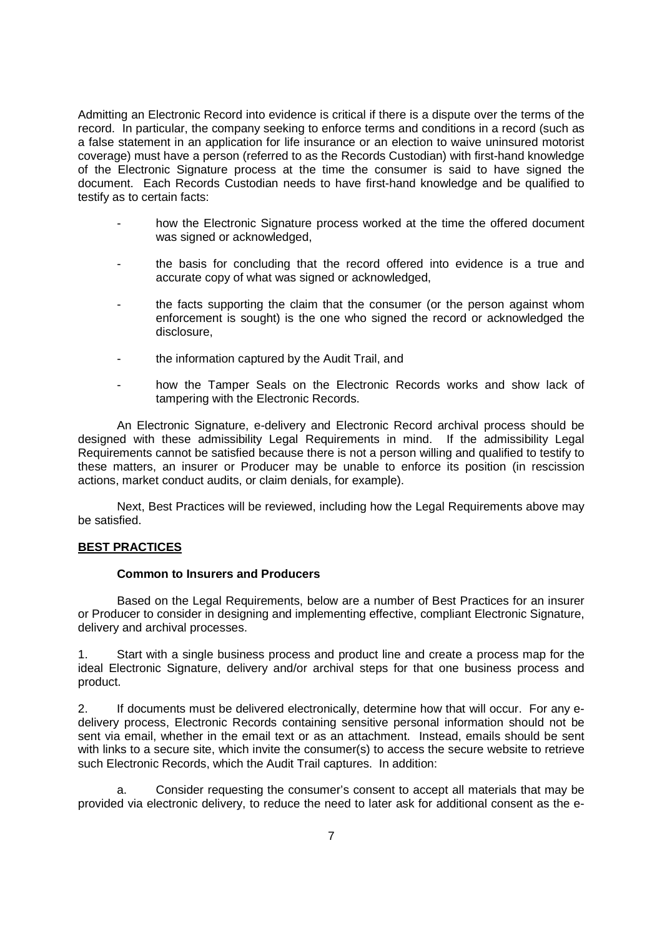Admitting an Electronic Record into evidence is critical if there is a dispute over the terms of the record. In particular, the company seeking to enforce terms and conditions in a record (such as a false statement in an application for life insurance or an election to waive uninsured motorist coverage) must have a person (referred to as the Records Custodian) with first-hand knowledge of the Electronic Signature process at the time the consumer is said to have signed the document. Each Records Custodian needs to have first-hand knowledge and be qualified to testify as to certain facts:

- how the Electronic Signature process worked at the time the offered document was signed or acknowledged,
- the basis for concluding that the record offered into evidence is a true and accurate copy of what was signed or acknowledged,
- the facts supporting the claim that the consumer (or the person against whom enforcement is sought) is the one who signed the record or acknowledged the disclosure,
- the information captured by the Audit Trail, and
- how the Tamper Seals on the Electronic Records works and show lack of tampering with the Electronic Records.

An Electronic Signature, e-delivery and Electronic Record archival process should be designed with these admissibility Legal Requirements in mind. If the admissibility Legal Requirements cannot be satisfied because there is not a person willing and qualified to testify to these matters, an insurer or Producer may be unable to enforce its position (in rescission actions, market conduct audits, or claim denials, for example).

Next, Best Practices will be reviewed, including how the Legal Requirements above may be satisfied.

# **BEST PRACTICES**

#### **Common to Insurers and Producers**

Based on the Legal Requirements, below are a number of Best Practices for an insurer or Producer to consider in designing and implementing effective, compliant Electronic Signature, delivery and archival processes.

1. Start with a single business process and product line and create a process map for the ideal Electronic Signature, delivery and/or archival steps for that one business process and product.

2. If documents must be delivered electronically, determine how that will occur. For any edelivery process, Electronic Records containing sensitive personal information should not be sent via email, whether in the email text or as an attachment. Instead, emails should be sent with links to a secure site, which invite the consumer(s) to access the secure website to retrieve such Electronic Records, which the Audit Trail captures. In addition:

a. Consider requesting the consumer's consent to accept all materials that may be provided via electronic delivery, to reduce the need to later ask for additional consent as the e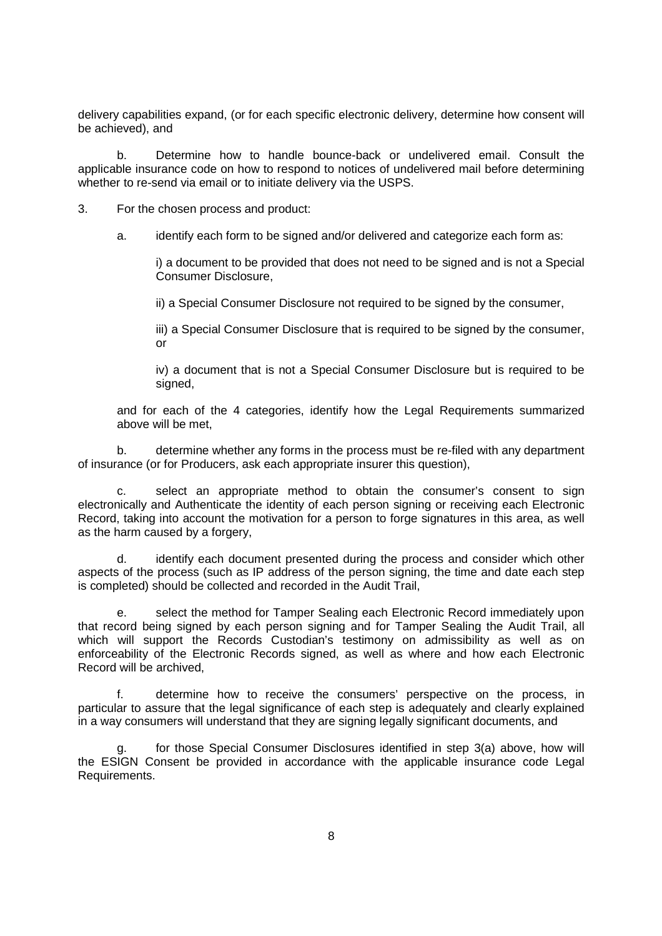delivery capabilities expand, (or for each specific electronic delivery, determine how consent will be achieved), and

b. Determine how to handle bounce-back or undelivered email. Consult the applicable insurance code on how to respond to notices of undelivered mail before determining whether to re-send via email or to initiate delivery via the USPS.

3. For the chosen process and product:

a. identify each form to be signed and/or delivered and categorize each form as:

i) a document to be provided that does not need to be signed and is not a Special Consumer Disclosure,

ii) a Special Consumer Disclosure not required to be signed by the consumer,

iii) a Special Consumer Disclosure that is required to be signed by the consumer, or

iv) a document that is not a Special Consumer Disclosure but is required to be signed.

and for each of the 4 categories, identify how the Legal Requirements summarized above will be met,

b. determine whether any forms in the process must be re-filed with any department of insurance (or for Producers, ask each appropriate insurer this question),

c. select an appropriate method to obtain the consumer's consent to sign electronically and Authenticate the identity of each person signing or receiving each Electronic Record, taking into account the motivation for a person to forge signatures in this area, as well as the harm caused by a forgery,

d. identify each document presented during the process and consider which other aspects of the process (such as IP address of the person signing, the time and date each step is completed) should be collected and recorded in the Audit Trail,

e. select the method for Tamper Sealing each Electronic Record immediately upon that record being signed by each person signing and for Tamper Sealing the Audit Trail, all which will support the Records Custodian's testimony on admissibility as well as on enforceability of the Electronic Records signed, as well as where and how each Electronic Record will be archived,

f. determine how to receive the consumers' perspective on the process, in particular to assure that the legal significance of each step is adequately and clearly explained in a way consumers will understand that they are signing legally significant documents, and

for those Special Consumer Disclosures identified in step 3(a) above, how will the ESIGN Consent be provided in accordance with the applicable insurance code Legal Requirements.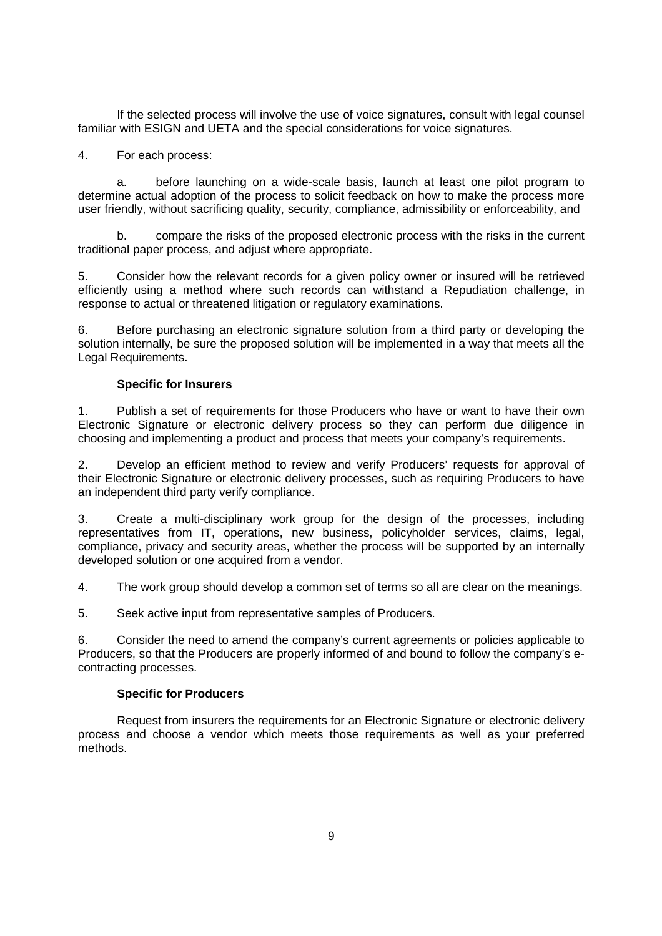If the selected process will involve the use of voice signatures, consult with legal counsel familiar with ESIGN and UETA and the special considerations for voice signatures.

# 4. For each process:

a. before launching on a wide-scale basis, launch at least one pilot program to determine actual adoption of the process to solicit feedback on how to make the process more user friendly, without sacrificing quality, security, compliance, admissibility or enforceability, and

b. compare the risks of the proposed electronic process with the risks in the current traditional paper process, and adjust where appropriate.

5. Consider how the relevant records for a given policy owner or insured will be retrieved efficiently using a method where such records can withstand a Repudiation challenge, in response to actual or threatened litigation or regulatory examinations.

6. Before purchasing an electronic signature solution from a third party or developing the solution internally, be sure the proposed solution will be implemented in a way that meets all the Legal Requirements.

# **Specific for Insurers**

1. Publish a set of requirements for those Producers who have or want to have their own Electronic Signature or electronic delivery process so they can perform due diligence in choosing and implementing a product and process that meets your company's requirements.

2. Develop an efficient method to review and verify Producers' requests for approval of their Electronic Signature or electronic delivery processes, such as requiring Producers to have an independent third party verify compliance.

3. Create a multi-disciplinary work group for the design of the processes, including representatives from IT, operations, new business, policyholder services, claims, legal, compliance, privacy and security areas, whether the process will be supported by an internally developed solution or one acquired from a vendor.

4. The work group should develop a common set of terms so all are clear on the meanings.

5. Seek active input from representative samples of Producers.

6. Consider the need to amend the company's current agreements or policies applicable to Producers, so that the Producers are properly informed of and bound to follow the company's econtracting processes.

## **Specific for Producers**

Request from insurers the requirements for an Electronic Signature or electronic delivery process and choose a vendor which meets those requirements as well as your preferred methods.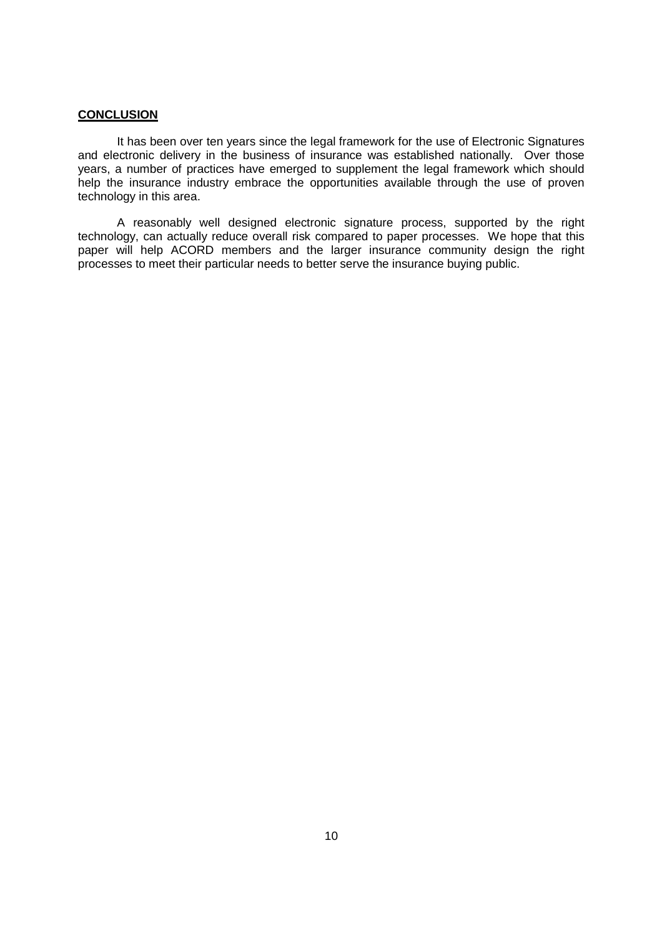# **CONCLUSION**

It has been over ten years since the legal framework for the use of Electronic Signatures and electronic delivery in the business of insurance was established nationally. Over those years, a number of practices have emerged to supplement the legal framework which should help the insurance industry embrace the opportunities available through the use of proven technology in this area.

A reasonably well designed electronic signature process, supported by the right technology, can actually reduce overall risk compared to paper processes. We hope that this paper will help ACORD members and the larger insurance community design the right processes to meet their particular needs to better serve the insurance buying public.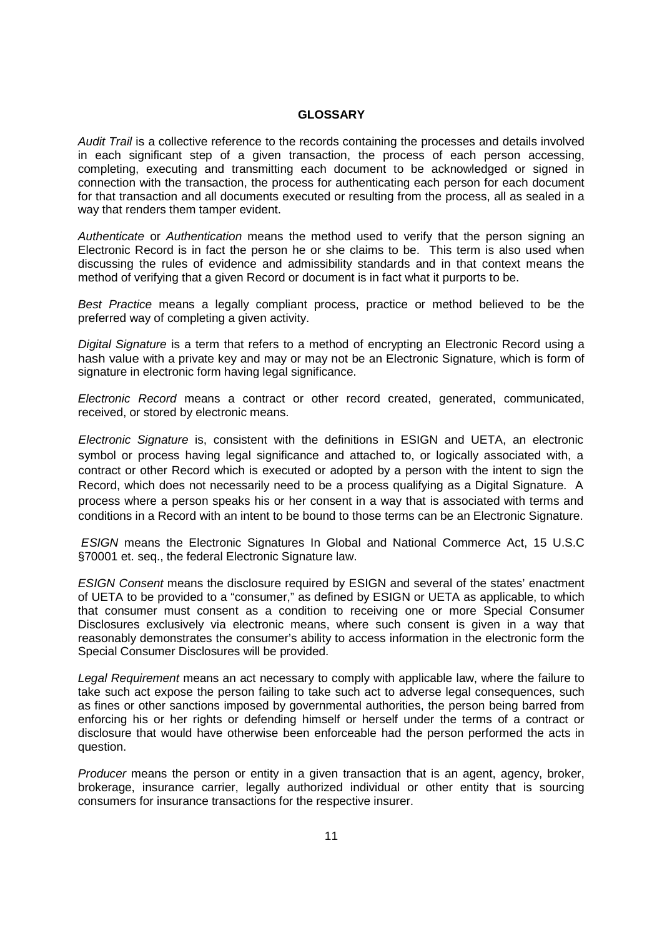### **GLOSSARY**

*Audit Trail* is a collective reference to the records containing the processes and details involved in each significant step of a given transaction, the process of each person accessing, completing, executing and transmitting each document to be acknowledged or signed in connection with the transaction, the process for authenticating each person for each document for that transaction and all documents executed or resulting from the process, all as sealed in a way that renders them tamper evident.

*Authenticate* or *Authentication* means the method used to verify that the person signing an Electronic Record is in fact the person he or she claims to be. This term is also used when discussing the rules of evidence and admissibility standards and in that context means the method of verifying that a given Record or document is in fact what it purports to be.

*Best Practice* means a legally compliant process, practice or method believed to be the preferred way of completing a given activity.

*Digital Signature* is a term that refers to a method of encrypting an Electronic Record using a hash value with a private key and may or may not be an Electronic Signature, which is form of signature in electronic form having legal significance.

*Electronic Record* means a contract or other record created, generated, communicated, received, or stored by electronic means.

*Electronic Signature* is, consistent with the definitions in ESIGN and UETA, an electronic symbol or process having legal significance and attached to, or logically associated with, a contract or other Record which is executed or adopted by a person with the intent to sign the Record, which does not necessarily need to be a process qualifying as a Digital Signature. A process where a person speaks his or her consent in a way that is associated with terms and conditions in a Record with an intent to be bound to those terms can be an Electronic Signature.

*ESIGN* means the Electronic Signatures In Global and National Commerce Act, 15 U.S.C §70001 et. seq., the federal Electronic Signature law.

*ESIGN Consent* means the disclosure required by ESIGN and several of the states' enactment of UETA to be provided to a "consumer," as defined by ESIGN or UETA as applicable, to which that consumer must consent as a condition to receiving one or more Special Consumer Disclosures exclusively via electronic means, where such consent is given in a way that reasonably demonstrates the consumer's ability to access information in the electronic form the Special Consumer Disclosures will be provided.

*Legal Requirement* means an act necessary to comply with applicable law, where the failure to take such act expose the person failing to take such act to adverse legal consequences, such as fines or other sanctions imposed by governmental authorities, the person being barred from enforcing his or her rights or defending himself or herself under the terms of a contract or disclosure that would have otherwise been enforceable had the person performed the acts in question.

*Producer* means the person or entity in a given transaction that is an agent, agency, broker, brokerage, insurance carrier, legally authorized individual or other entity that is sourcing consumers for insurance transactions for the respective insurer.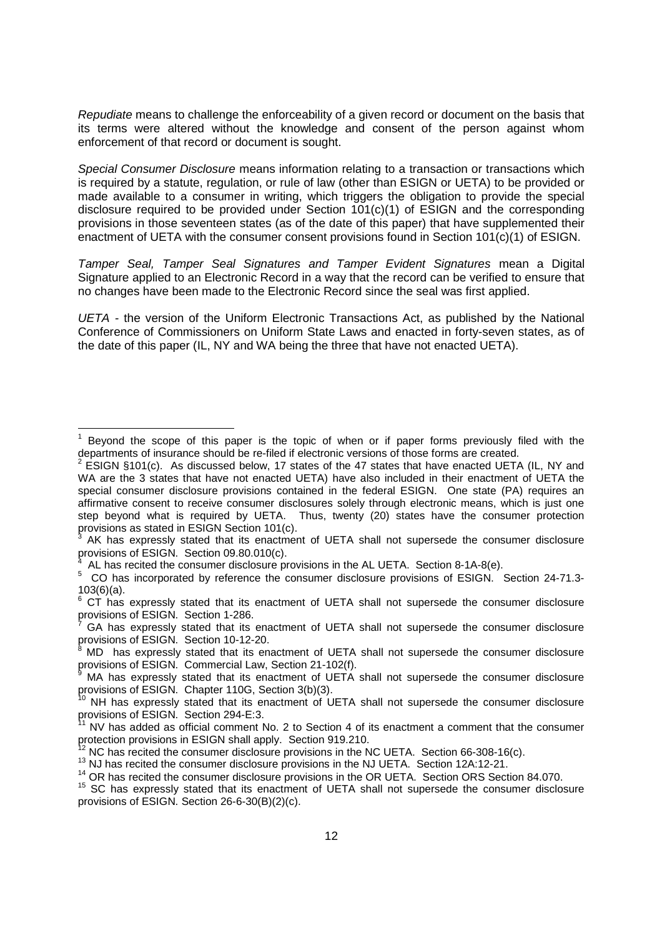*Repudiate* means to challenge the enforceability of a given record or document on the basis that its terms were altered without the knowledge and consent of the person against whom enforcement of that record or document is sought.

*Special Consumer Disclosure* means information relating to a transaction or transactions which is required by a statute, regulation, or rule of law (other than ESIGN or UETA) to be provided or made available to a consumer in writing, which triggers the obligation to provide the special disclosure required to be provided under Section 101(c)(1) of ESIGN and the corresponding provisions in those seventeen states (as of the date of this paper) that have supplemented their enactment of UETA with the consumer consent provisions found in Section 101(c)(1) of ESIGN.

*Tamper Seal, Tamper Seal Signatures and Tamper Evident Signatures* mean a Digital Signature applied to an Electronic Record in a way that the record can be verified to ensure that no changes have been made to the Electronic Record since the seal was first applied.

*UETA -* the version of the Uniform Electronic Transactions Act, as published by the National Conference of Commissioners on Uniform State Laws and enacted in forty-seven states, as of the date of this paper (IL, NY and WA being the three that have not enacted UETA).

<sup>1</sup> Beyond the scope of this paper is the topic of when or if paper forms previously filed with the departments of insurance should be re-filed if electronic versions of those forms are created.

 $2$  ESIGN §101(c). As discussed below, 17 states of the 47 states that have enacted UETA (IL, NY and WA are the 3 states that have not enacted UETA) have also included in their enactment of UETA the special consumer disclosure provisions contained in the federal ESIGN. One state (PA) requires an affirmative consent to receive consumer disclosures solely through electronic means, which is just one step beyond what is required by UETA. Thus, twenty (20) states have the consumer protection provisions as stated in ESIGN Section 101(c).

AK has expressly stated that its enactment of UETA shall not supersede the consumer disclosure provisions of ESIGN. Section 09.80.010(c).

AL has recited the consumer disclosure provisions in the AL UETA. Section 8-1A-8(e).

<sup>&</sup>lt;sup>5</sup> CO has incorporated by reference the consumer disclosure provisions of ESIGN. Section 24-71.3-103(6)(a).

<sup>6</sup> CT has expressly stated that its enactment of UETA shall not supersede the consumer disclosure provisions of ESIGN. Section 1-286.

GA has expressly stated that its enactment of UETA shall not supersede the consumer disclosure provisions of ESIGN. Section 10-12-20.

MD has expressly stated that its enactment of UETA shall not supersede the consumer disclosure provisions of ESIGN. Commercial Law, Section 21-102(f).

MA has expressly stated that its enactment of UETA shall not supersede the consumer disclosure provisions of ESIGN. Chapter 110G, Section 3(b)(3).

NH has expressly stated that its enactment of UETA shall not supersede the consumer disclosure provisions of ESIGN. Section 294-E:3.

NV has added as official comment No. 2 to Section 4 of its enactment a comment that the consumer protection provisions in ESIGN shall apply. Section 919.210.

NC has recited the consumer disclosure provisions in the NC UETA. Section 66-308-16(c).

<sup>&</sup>lt;sup>13</sup> NJ has recited the consumer disclosure provisions in the NJ UETA. Section 12A:12-21.

<sup>&</sup>lt;sup>14</sup> OR has recited the consumer disclosure provisions in the OR UETA. Section ORS Section 84.070.

<sup>&</sup>lt;sup>15</sup> SC has expressly stated that its enactment of UETA shall not supersede the consumer disclosure provisions of ESIGN. Section 26-6-30(B)(2)(c).